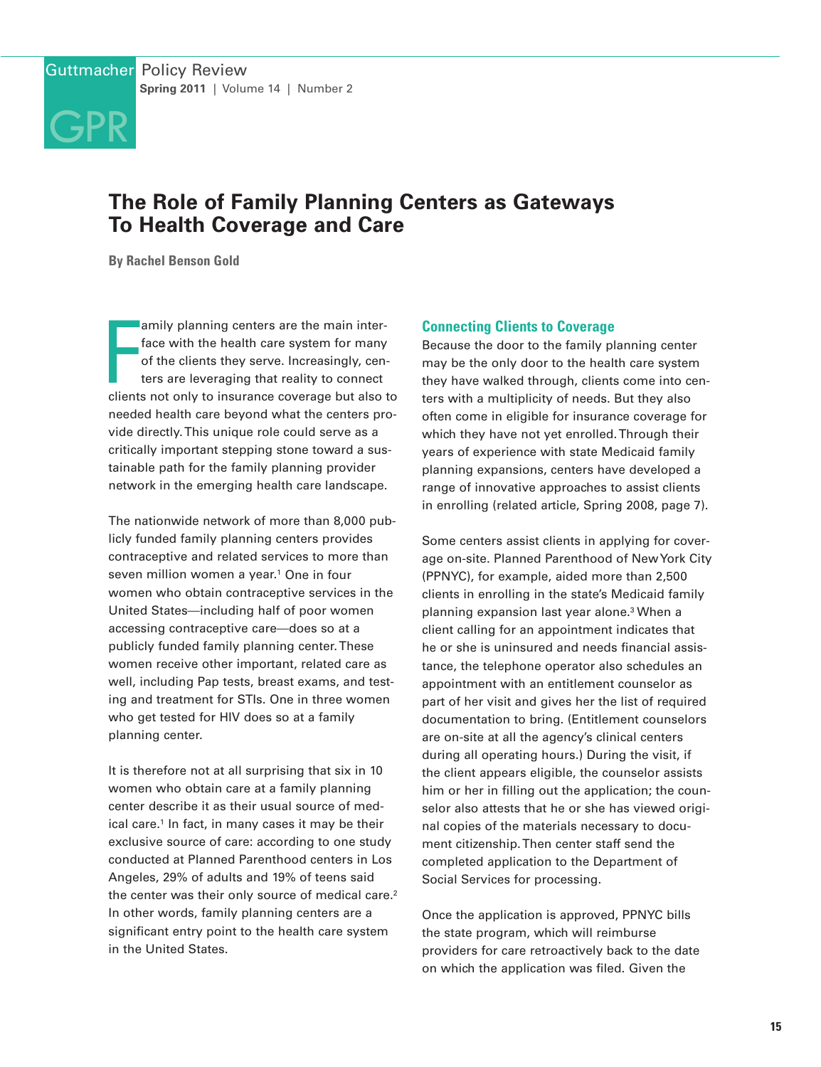

# **The Role of Family Planning Centers as Gateways To Health Coverage and Care**

**By Rachel Benson Gold**

amily planning centers are the main inter-<br>face with the health care system for many<br>of the clients they serve. Increasingly, cen-<br>ters are leveraging that reality to connect<br>clients not only to insurance coverage but also amily planning centers are the main interface with the health care system for many of the clients they serve. Increasingly, centers are leveraging that reality to connect needed health care beyond what the centers provide directly. This unique role could serve as a critically important stepping stone toward a sustainable path for the family planning provider network in the emerging health care landscape.

The nationwide network of more than 8,000 publicly funded family planning centers provides contraceptive and related services to more than seven million women a year.<sup>1</sup> One in four women who obtain contraceptive services in the United States—including half of poor women accessing contraceptive care—does so at a publicly funded family planning center. These women receive other important, related care as well, including Pap tests, breast exams, and testing and treatment for STIs. One in three women who get tested for HIV does so at a family planning center.

It is therefore not at all surprising that six in 10 women who obtain care at a family planning center describe it as their usual source of medical care.<sup>1</sup> In fact, in many cases it may be their exclusive source of care: according to one study conducted at Planned Parenthood centers in Los Angeles, 29% of adults and 19% of teens said the center was their only source of medical care.<sup>2</sup> In other words, family planning centers are a significant entry point to the health care system in the United States.

### **Connecting Clients to Coverage**

Because the door to the family planning center may be the only door to the health care system they have walked through, clients come into centers with a multiplicity of needs. But they also often come in eligible for insurance coverage for which they have not yet enrolled. Through their years of experience with state Medicaid family planning expansions, centers have developed a range of innovative approaches to assist clients in enrolling (related article, Spring 2008, page 7).

Some centers assist clients in applying for coverage on-site. Planned Parenthood of New York City (PPNYC), for example, aided more than 2,500 clients in enrolling in the state's Medicaid family planning expansion last year alone.3 When a client calling for an appointment indicates that he or she is uninsured and needs financial assistance, the telephone operator also schedules an appointment with an entitlement counselor as part of her visit and gives her the list of required documentation to bring. (Entitlement counselors are on-site at all the agency's clinical centers during all operating hours.) During the visit, if the client appears eligible, the counselor assists him or her in filling out the application; the counselor also attests that he or she has viewed original copies of the materials necessary to document citizenship. Then center staff send the completed application to the Department of Social Services for processing.

Once the application is approved, PPNYC bills the state program, which will reimburse providers for care retroactively back to the date on which the application was filed. Given the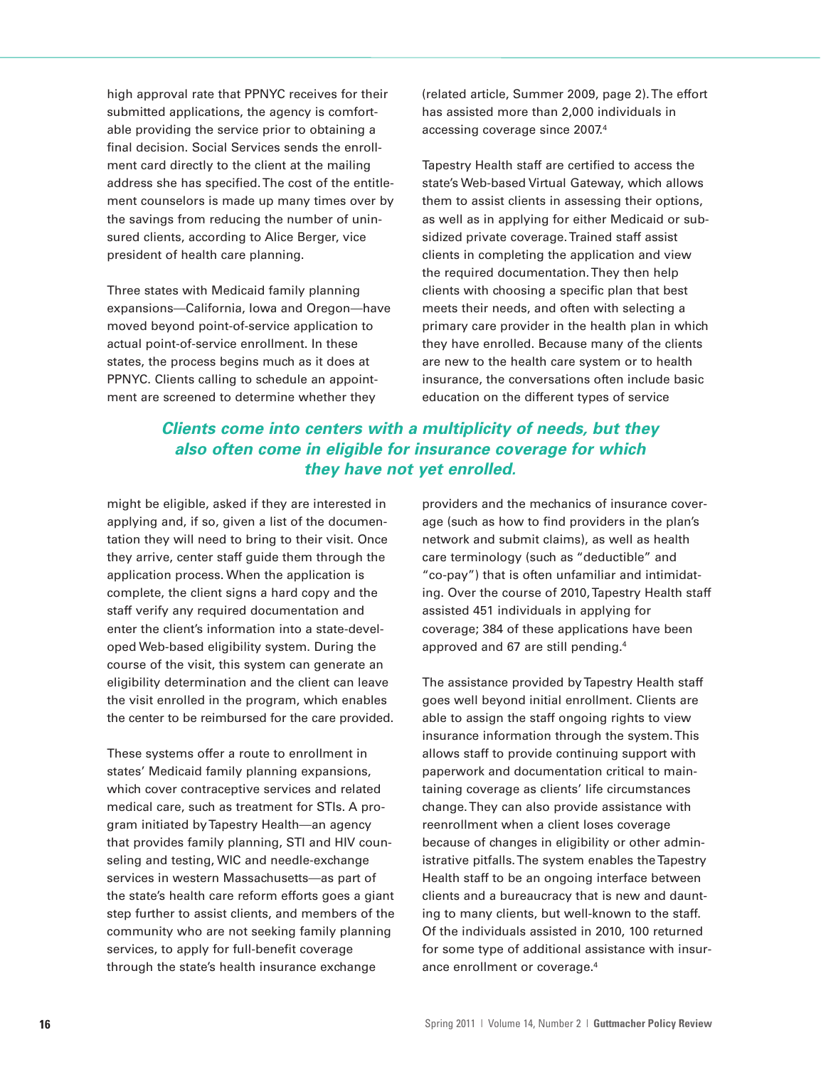high approval rate that PPNYC receives for their submitted applications, the agency is comfortable providing the service prior to obtaining a final decision. Social Services sends the enrollment card directly to the client at the mailing address she has specified. The cost of the entitlement counselors is made up many times over by the savings from reducing the number of uninsured clients, according to Alice Berger, vice president of health care planning.

Three states with Medicaid family planning expansions—California, Iowa and Oregon—have moved beyond point-of-service application to actual point-of-service enrollment. In these states, the process begins much as it does at PPNYC. Clients calling to schedule an appointment are screened to determine whether they

(related article, Summer 2009, page 2). The effort has assisted more than 2,000 individuals in accessing coverage since 2007.4

Tapestry Health staff are certified to access the state's Web-based Virtual Gateway, which allows them to assist clients in assessing their options, as well as in applying for either Medicaid or subsidized private coverage. Trained staff assist clients in completing the application and view the required documentation. They then help clients with choosing a specific plan that best meets their needs, and often with selecting a primary care provider in the health plan in which they have enrolled. Because many of the clients are new to the health care system or to health insurance, the conversations often include basic education on the different types of service

# **Clients come into centers with a multiplicity of needs, but they also often come in eligible for insurance coverage for which they have not yet enrolled.**

might be eligible, asked if they are interested in applying and, if so, given a list of the documentation they will need to bring to their visit. Once they arrive, center staff guide them through the application process. When the application is complete, the client signs a hard copy and the staff verify any required documentation and enter the client's information into a state-developed Web-based eligibility system. During the course of the visit, this system can generate an eligibility determination and the client can leave the visit enrolled in the program, which enables the center to be reimbursed for the care provided.

These systems offer a route to enrollment in states' Medicaid family planning expansions, which cover contraceptive services and related medical care, such as treatment for STIs. A program initiated by Tapestry Health—an agency that provides family planning, STI and HIV counseling and testing, WIC and needle-exchange services in western Massachusetts—as part of the state's health care reform efforts goes a giant step further to assist clients, and members of the community who are not seeking family planning services, to apply for full-benefit coverage through the state's health insurance exchange

providers and the mechanics of insurance coverage (such as how to find providers in the plan's network and submit claims), as well as health care terminology (such as "deductible" and "co-pay") that is often unfamiliar and intimidating. Over the course of 2010, Tapestry Health staff assisted 451 individuals in applying for coverage; 384 of these applications have been approved and 67 are still pending.4

The assistance provided by Tapestry Health staff goes well beyond initial enrollment. Clients are able to assign the staff ongoing rights to view insurance information through the system. This allows staff to provide continuing support with paperwork and documentation critical to maintaining coverage as clients' life circumstances change. They can also provide assistance with reenrollment when a client loses coverage because of changes in eligibility or other administrative pitfalls. The system enables the Tapestry Health staff to be an ongoing interface between clients and a bureaucracy that is new and daunting to many clients, but well-known to the staff. Of the individuals assisted in 2010, 100 returned for some type of additional assistance with insurance enrollment or coverage.4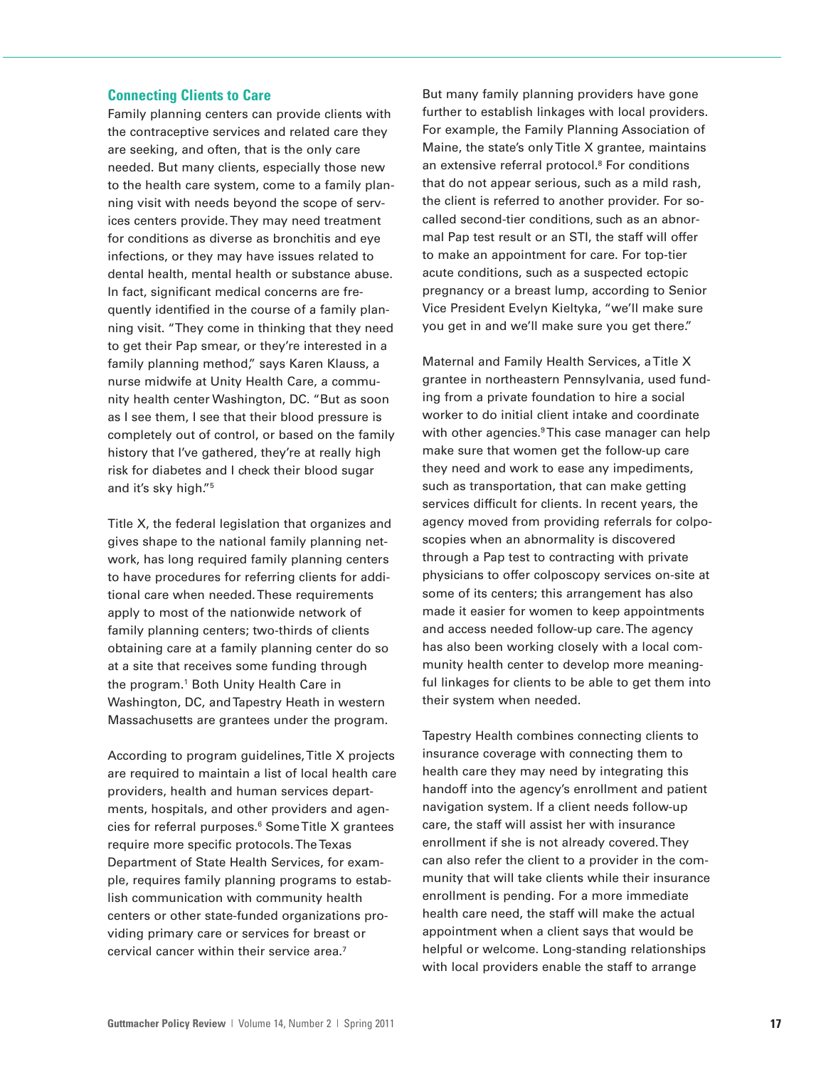#### **Connecting Clients to Care**

Family planning centers can provide clients with the contraceptive services and related care they are seeking, and often, that is the only care needed. But many clients, especially those new to the health care system, come to a family planning visit with needs beyond the scope of services centers provide. They may need treatment for conditions as diverse as bronchitis and eye infections, or they may have issues related to dental health, mental health or substance abuse. In fact, significant medical concerns are frequently identified in the course of a family planning visit. "They come in thinking that they need to get their Pap smear, or they're interested in a family planning method," says Karen Klauss, a nurse midwife at Unity Health Care, a community health center Washington, DC. "But as soon as I see them, I see that their blood pressure is completely out of control, or based on the family history that I've gathered, they're at really high risk for diabetes and I check their blood sugar and it's sky high."5

Title X, the federal legislation that organizes and gives shape to the national family planning network, has long required family planning centers to have procedures for referring clients for additional care when needed. These requirements apply to most of the nationwide network of family planning centers; two-thirds of clients obtaining care at a family planning center do so at a site that receives some funding through the program.<sup>1</sup> Both Unity Health Care in Washington, DC, and Tapestry Heath in western Massachusetts are grantees under the program.

According to program guidelines, Title X projects are required to maintain a list of local health care providers, health and human services departments, hospitals, and other providers and agencies for referral purposes.<sup>6</sup> Some Title X grantees require more specific protocols. The Texas Department of State Health Services, for example, requires family planning programs to establish communication with community health centers or other state-funded organizations providing primary care or services for breast or cervical cancer within their service area.7

But many family planning providers have gone further to establish linkages with local providers. For example, the Family Planning Association of Maine, the state's only Title X grantee, maintains an extensive referral protocol.<sup>8</sup> For conditions that do not appear serious, such as a mild rash, the client is referred to another provider. For socalled second-tier conditions, such as an abnormal Pap test result or an STI, the staff will offer to make an appointment for care. For top-tier acute conditions, such as a suspected ectopic pregnancy or a breast lump, according to Senior Vice President Evelyn Kieltyka, "we'll make sure you get in and we'll make sure you get there."

Maternal and Family Health Services, a Title X grantee in northeastern Pennsylvania, used funding from a private foundation to hire a social worker to do initial client intake and coordinate with other agencies.<sup>9</sup>This case manager can help make sure that women get the follow-up care they need and work to ease any impediments, such as transportation, that can make getting services difficult for clients. In recent years, the agency moved from providing referrals for colposcopies when an abnormality is discovered through a Pap test to contracting with private physicians to offer colposcopy services on-site at some of its centers; this arrangement has also made it easier for women to keep appointments and access needed follow-up care. The agency has also been working closely with a local community health center to develop more meaningful linkages for clients to be able to get them into their system when needed.

Tapestry Health combines connecting clients to insurance coverage with connecting them to health care they may need by integrating this handoff into the agency's enrollment and patient navigation system. If a client needs follow-up care, the staff will assist her with insurance enrollment if she is not already covered. They can also refer the client to a provider in the community that will take clients while their insurance enrollment is pending. For a more immediate health care need, the staff will make the actual appointment when a client says that would be helpful or welcome. Long-standing relationships with local providers enable the staff to arrange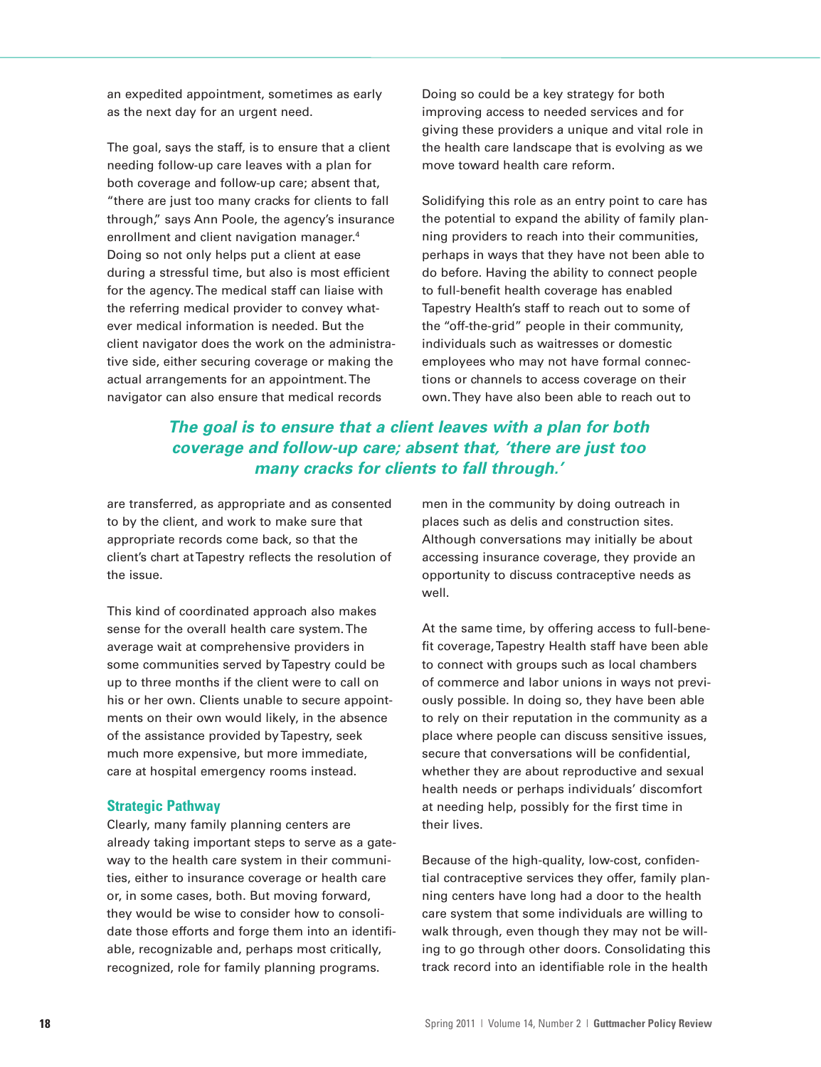an expedited appointment, sometimes as early as the next day for an urgent need.

The goal, says the staff, is to ensure that a client needing follow-up care leaves with a plan for both coverage and follow-up care; absent that, "there are just too many cracks for clients to fall through," says Ann Poole, the agency's insurance enrollment and client navigation manager.4 Doing so not only helps put a client at ease during a stressful time, but also is most efficient for the agency. The medical staff can liaise with the referring medical provider to convey whatever medical information is needed. But the client navigator does the work on the administrative side, either securing coverage or making the actual arrangements for an appointment. The navigator can also ensure that medical records

Doing so could be a key strategy for both improving access to needed services and for giving these providers a unique and vital role in the health care landscape that is evolving as we move toward health care reform.

Solidifying this role as an entry point to care has the potential to expand the ability of family planning providers to reach into their communities, perhaps in ways that they have not been able to do before. Having the ability to connect people to full-benefit health coverage has enabled Tapestry Health's staff to reach out to some of the "off-the-grid" people in their community, individuals such as waitresses or domestic employees who may not have formal connections or channels to access coverage on their own. They have also been able to reach out to

# **The goal is to ensure that a client leaves with a plan for both coverage and follow-up care; absent that, 'there are just too many cracks for clients to fall through.'**

are transferred, as appropriate and as consented to by the client, and work to make sure that appropriate records come back, so that the client's chart at Tapestry reflects the resolution of the issue.

This kind of coordinated approach also makes sense for the overall health care system. The average wait at comprehensive providers in some communities served by Tapestry could be up to three months if the client were to call on his or her own. Clients unable to secure appointments on their own would likely, in the absence of the assistance provided by Tapestry, seek much more expensive, but more immediate, care at hospital emergency rooms instead.

### **Strategic Pathway**

Clearly, many family planning centers are already taking important steps to serve as a gateway to the health care system in their communities, either to insurance coverage or health care or, in some cases, both. But moving forward, they would be wise to consider how to consolidate those efforts and forge them into an identifiable, recognizable and, perhaps most critically, recognized, role for family planning programs.

men in the community by doing outreach in places such as delis and construction sites. Although conversations may initially be about accessing insurance coverage, they provide an opportunity to discuss contraceptive needs as well.

At the same time, by offering access to full-benefit coverage, Tapestry Health staff have been able to connect with groups such as local chambers of commerce and labor unions in ways not previously possible. In doing so, they have been able to rely on their reputation in the community as a place where people can discuss sensitive issues, secure that conversations will be confidential, whether they are about reproductive and sexual health needs or perhaps individuals' discomfort at needing help, possibly for the first time in their lives.

Because of the high-quality, low-cost, confidential contraceptive services they offer, family planning centers have long had a door to the health care system that some individuals are willing to walk through, even though they may not be willing to go through other doors. Consolidating this track record into an identifiable role in the health